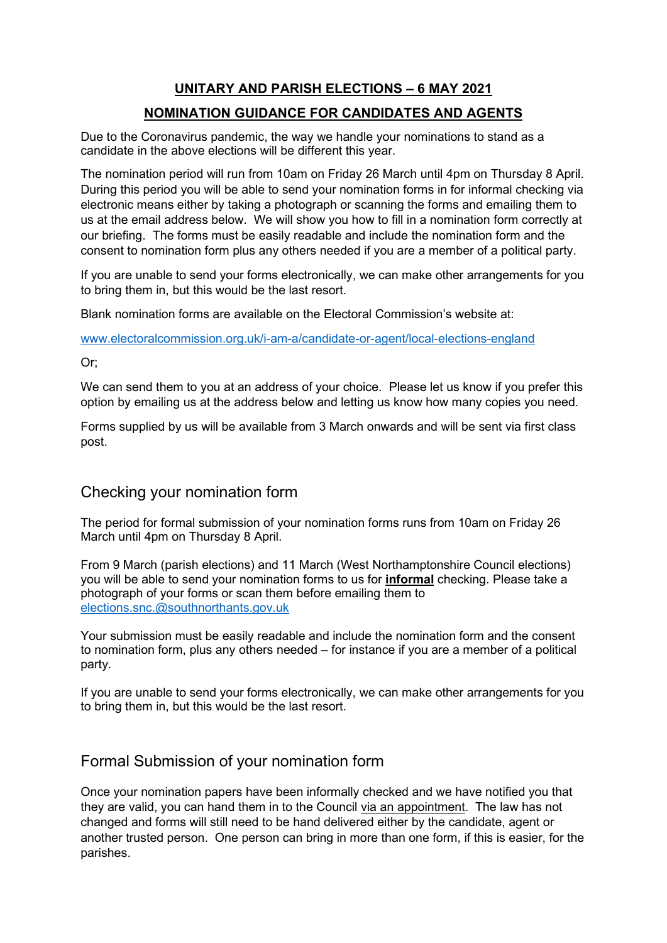# **UNITARY AND PARISH ELECTIONS – 6 MAY 2021**

## **NOMINATION GUIDANCE FOR CANDIDATES AND AGENTS**

Due to the Coronavirus pandemic, the way we handle your nominations to stand as a candidate in the above elections will be different this year.

The nomination period will run from 10am on Friday 26 March until 4pm on Thursday 8 April. During this period you will be able to send your nomination forms in for informal checking via electronic means either by taking a photograph or scanning the forms and emailing them to us at the email address below. We will show you how to fill in a nomination form correctly at our briefing. The forms must be easily readable and include the nomination form and the consent to nomination form plus any others needed if you are a member of a political party.

If you are unable to send your forms electronically, we can make other arrangements for you to bring them in, but this would be the last resort.

Blank nomination forms are available on the Electoral Commission's website at:

[www.electoralcommission.org.uk/i-am-a/candidate-or-agent/local-elections-england](http://www.electoralcommission.org.uk/i-am-a/candidate-or-agent/local-elections-england) 

Or;

We can send them to you at an address of your choice. Please let us know if you prefer this option by emailing us at the address below and letting us know how many copies you need.

Forms supplied by us will be available from 3 March onwards and will be sent via first class post.

### Checking your nomination form

The period for formal submission of your nomination forms runs from 10am on Friday 26 March until 4pm on Thursday 8 April.

From 9 March (parish elections) and 11 March (West Northamptonshire Council elections) you will be able to send your nomination forms to us for **informal** checking. Please take a photograph of your forms or scan them before emailing them to [elections.snc.@southnorthants.gov.uk](mailto:elections.snc.@southnorthants.gov.uk) 

Your submission must be easily readable and include the nomination form and the consent to nomination form, plus any others needed – for instance if you are a member of a political party.

If you are unable to send your forms electronically, we can make other arrangements for you to bring them in, but this would be the last resort.

## Formal Submission of your nomination form

Once your nomination papers have been informally checked and we have notified you that they are valid, you can hand them in to the Council via an appointment. The law has not changed and forms will still need to be hand delivered either by the candidate, agent or another trusted person. One person can bring in more than one form, if this is easier, for the parishes.